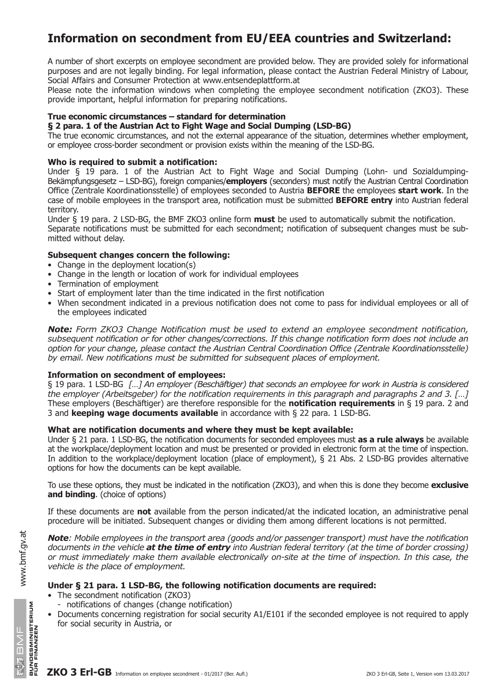# **Information on secondment from EU/EEA countries and Switzerland:**

A number of short excerpts on employee secondment are provided below. They are provided solely for informational purposes and are not legally binding. For legal information, please contact the Austrian Federal Ministry of Labour, Social Affairs and Consumer Protection at www.entsendeplattform.at

Please note the information windows when completing the employee secondment notification (ZKO3). These provide important, helpful information for preparing notifications.

# **True economic circumstances – standard for determination**

## **§ 2 para. 1 of the Austrian Act to Fight Wage and Social Dumping (LSD-BG)**

The true economic circumstances, and not the external appearance of the situation, determines whether employment, or employee cross-border secondment or provision exists within the meaning of the LSD-BG.

# **Who is required to submit a notification:**

Under § 19 para. 1 of the Austrian Act to Fight Wage and Social Dumping (Lohn- und Sozialdumping-Bekämpfungsgesetz – LSD-BG), foreign companies/**employers** (seconders) must notify the Austrian Central Coordination Office (Zentrale Koordinationsstelle) of employees seconded to Austria **BEFORE** the employees **start work**. In the case of mobile employees in the transport area, notification must be submitted **BEFORE entry** into Austrian federal territory.

Under § 19 para. 2 LSD-BG, the BMF ZKO3 online form **must** be used to automatically submit the notification. Separate notifications must be submitted for each secondment; notification of subsequent changes must be submitted without delay.

# **Subsequent changes concern the following:**

- Change in the deployment location(s)
- Change in the length or location of work for individual employees
- Termination of employment
- Start of employment later than the time indicated in the first notification
- When secondment indicated in a previous notification does not come to pass for individual employees or all of the employees indicated

*Note: Form ZKO3 Change Notification must be used to extend an employee secondment notification, subsequent notification or for other changes/corrections. If this change notification form does not include an option for your change, please contact the Austrian Central Coordination Office (Zentrale Koordinationsstelle) by email. New notifications must be submitted for subsequent places of employment.*

## **Information on secondment of employees:**

§ 19 para. 1 LSD-BG *[…] An employer (Beschäftiger) that seconds an employee for work in Austria is considered the employer (Arbeitsgeber) for the notification requirements in this paragraph and paragraphs 2 and 3. […]* These employers (Beschäftiger) are therefore responsible for the **notification requirements** in § 19 para. 2 and 3 and **keeping wage documents available** in accordance with § 22 para. 1 LSD-BG.

## **What are notification documents and where they must be kept available:**

Under § 21 para. 1 LSD-BG, the notification documents for seconded employees must **as a rule always** be available at the workplace/deployment location and must be presented or provided in electronic form at the time of inspection. In addition to the workplace/deployment location (place of employment), § 21 Abs. 2 LSD-BG provides alternative options for how the documents can be kept available.

To use these options, they must be indicated in the notification (ZKO3), and when this is done they become **exclusive and binding**. (choice of options)

If these documents are **not** available from the person indicated/at the indicated location, an administrative penal procedure will be initiated. Subsequent changes or dividing them among different locations is not permitted.

*Note: Mobile employees in the transport area (goods and/or passenger transport) must have the notification documents in the vehicle at the time of entry into Austrian federal territory (at the time of border crossing) or must immediately make them available electronically on-site at the time of inspection. In this case, the vehicle is the place of employment.*

# **Under § 21 para. 1 LSD-BG, the following notification documents are required:**

- The secondment notification (ZKO3)
	- notifications of changes (change notification)
- Documents concerning registration for social security A1/E101 if the seconded employee is not required to apply for social security in Austria, or